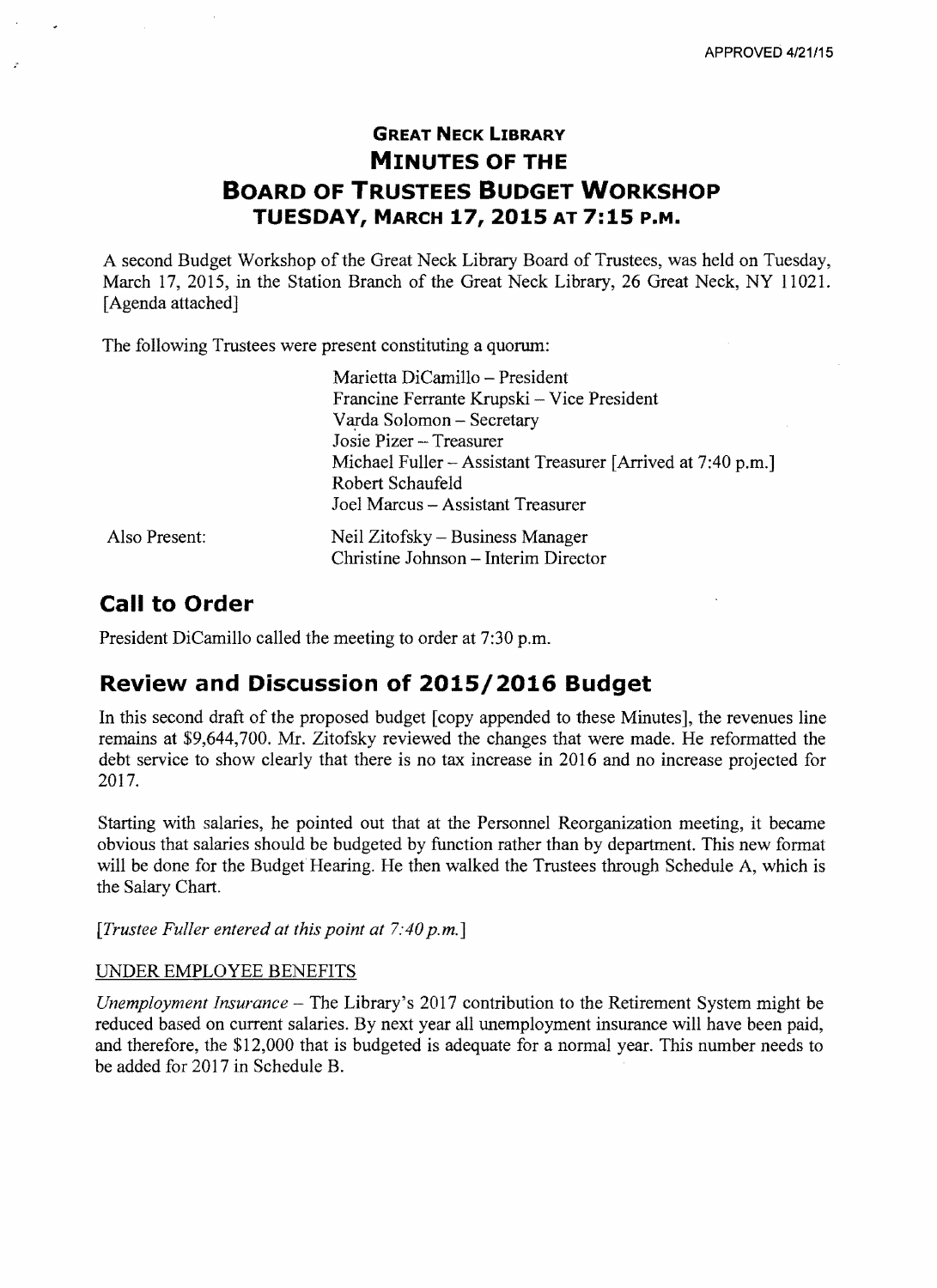# **GREAT NECK LIBRARY MINUTES OF THE BOARD OF TRUSTEES BUDGET WORKSHOP TUESDAY, MARCH 17,2015 AT 7:15 P.M.**

A second Budget Workshop of the Great Neck Library Board of Trustees, was held on Tuesday, March 17, 2015, in the Station Branch of the Great Neck Library, 26 Great Neck, NY 11021. [Agenda attached]

The following Trustees were present constituting a quorum:

| Marietta DiCamillo - President                                           |
|--------------------------------------------------------------------------|
| Francine Ferrante Krupski – Vice President                               |
| Varda Solomon - Secretary                                                |
| Josie Pizer - Treasurer                                                  |
| Michael Fuller – Assistant Treasurer [Arrived at 7:40 p.m.]              |
| Robert Schaufeld                                                         |
| Joel Marcus - Assistant Treasurer                                        |
| Neil Zitofsky – Business Manager<br>Christine Johnson – Interim Director |
|                                                                          |

# **Call to Order**

.

President DiCamillo called the meeting to order at 7:30 p.m.

# **Review and Discussion of 2015/2016 Budget**

**In** this second draft of the proposed budget [copy appended to these Minutes], the revenues line remains at \$9,644,700. Mr. Zitofsky reviewed the changes that were made. He reformatted the debt service to show clearly that there is no tax increase in 2016 and no increase projected for 2017.

Starting with salaries, he pointed out that at the Personnel Reorganization meeting, it became obvious that salaries should be budgeted by function rather than by department. This new format will be done for the Budget Hearing. He then walked the Trustees through Schedule A, which is the Salary Chart.

*[Trustee Fuller entered at this point at 7:40 p.m.]* 

#### UNDER EMPLOYEE BENEFITS

*Unemployment Insurance* – The Library's 2017 contribution to the Retirement System might be reduced based on current salaries. By next year all unemployment insurance will have been paid, and therefore, the \$12,000 that is budgeted is adequate for a normal year. This number needs to be added for 2017 in Schedule B.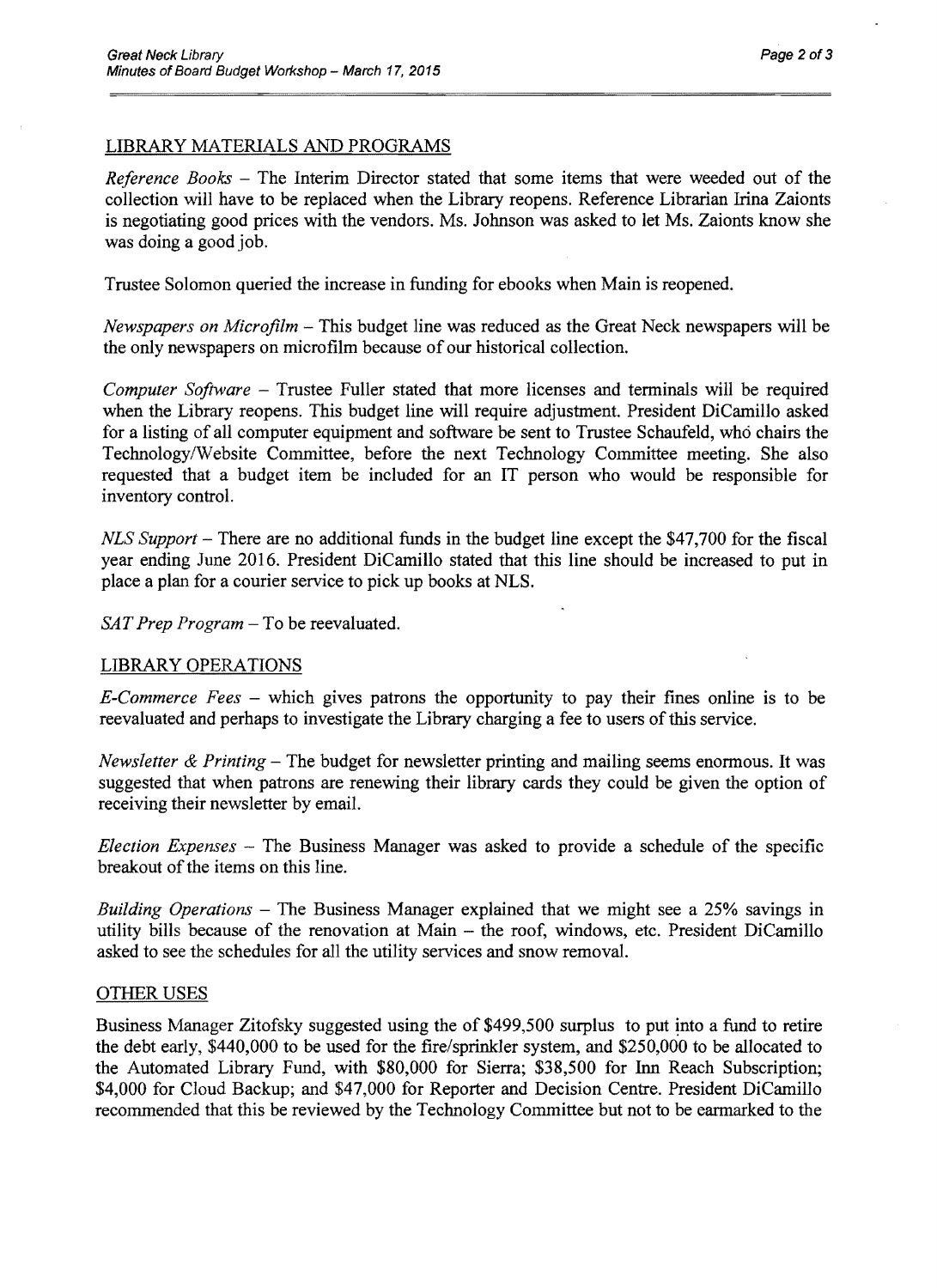### LIBRARY MATERIALS AND PROGRAMS

*Reference Books – The Interim Director stated that some items that were weeded out of the* collection will have to be replaced when the Library reopens. Reference Librarian Irina Zaionts is negotiating good prices with the vendors. Ms. Johnson was asked to let Ms. Zaionts know she was doing a good job.

Trustee Solomon queried the increase in funding for ebooks when Main is reopened.

*Newspapers on Microfilm* – This budget line was reduced as the Great Neck newspapers will be the only newspapers on microfilm because of our historical collection.

*Computer Software* Trustee Fuller stated that more licenses and terminals will be required when the Library reopens. This budget line will require adjustment. President DiCamillo asked for a listing of all computer equipment and software be sent to Trustee Schaufeld, who chairs the Technology/Website Committee, before the next Technology Committee meeting. She also requested that a budget item be included for an **IT** person who would be responsible for inventory control.

*NLS Support* – There are no additional funds in the budget line except the \$47,700 for the fiscal year ending June 2016. President DiCamillo stated that this line should be increased to put in place a plan for a courier service to pick up books at NLS.

*SAT Prep Program* – To be reevaluated.

#### LIBRARY OPERATIONS

*E-Commerce Fees* - which gives patrons the opportunity to pay their fines online is to be reevaluated and perhaps to investigate the Library charging a fee to users of this service.

*Newsletter & Printing* – The budget for newsletter printing and mailing seems enormous. It was suggested that when patrons are renewing their library cards they could be given the option of receiving their newsletter by email.

*Election Expenses* - The Business Manager was asked to provide a schedule of the specific breakout of the items on this line.

*BUilding Operations* - The Business Manager explained that we might see a 25% savings in utility bills because of the renovation at Main - the roof, windows, etc. President DiCamillo asked to see the schedules for all the utility services and snow removal.

#### OTHER USES

Business Manager Zitofsky suggested using the of \$499,500 surplus to put into a fund to retire the debt early, \$440,000 to be used for the fire/sprinkler system, and \$250,000 to be allocated to the Automated Library Fund, with \$80,000 for Sierra; \$38,500 for Inn Reach Subscription; \$4,000 for Cloud Backup; and \$47,000 for Reporter and Decision Centre. President DiCamillo recommended that this be reviewed by the Technology Committee but not to be earmarked to the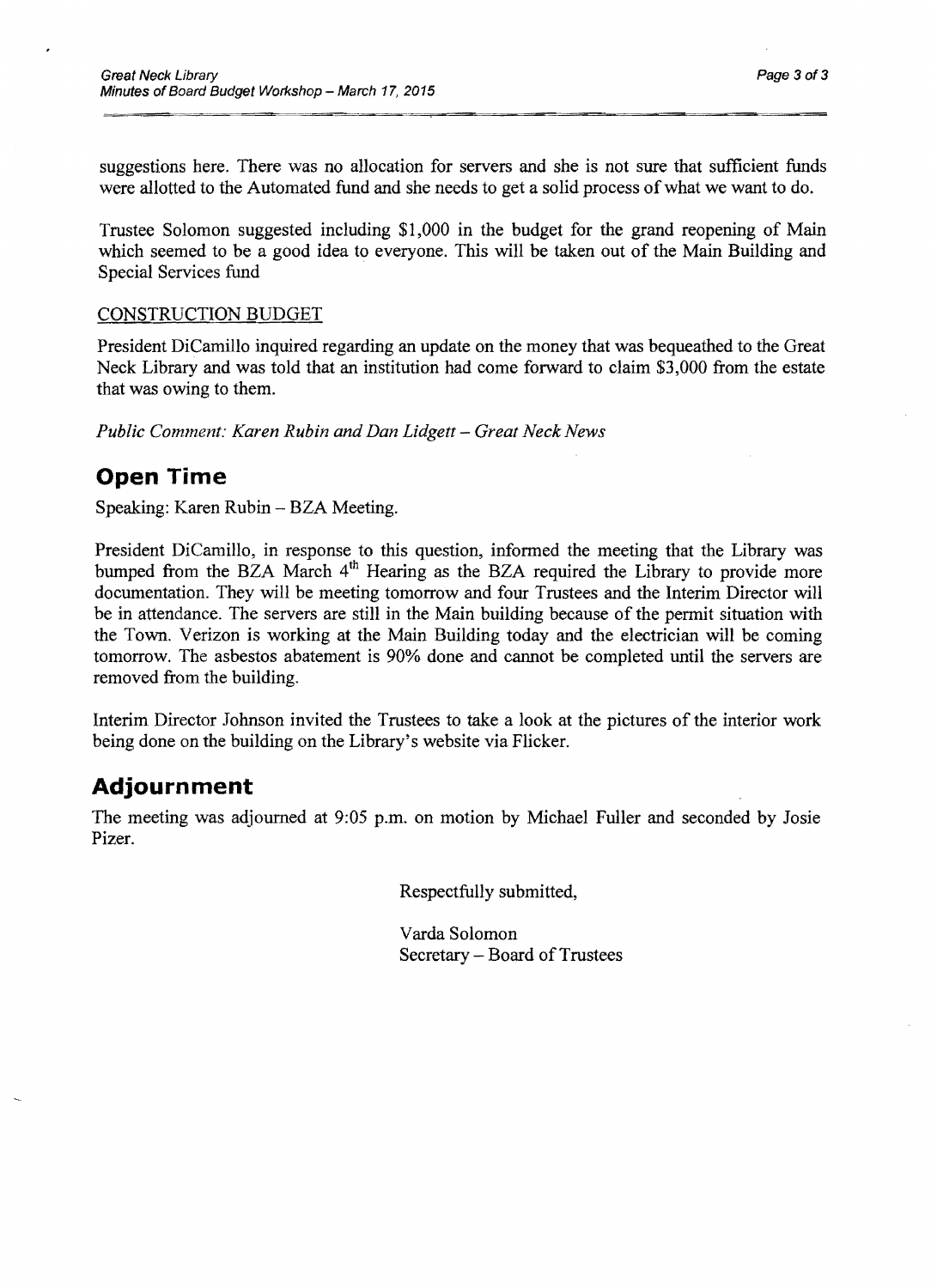suggestions here. There was no allocation for servers and she is not sure that sufficient funds were allotted to the Automated fund and she needs to get a solid process of what we want to do.

Trustee Solomon suggested including \$1,000 in the budget for the grand reopening of Main which seemed to be a good idea to everyone. This will be taken out of the Main Building and Special Services fund

### CONSTRUCTION BUDGET

President DiCamillo inquired regarding an update on the money that was bequeathed to the Great Neck Library and was told that an institution had come forward to claim \$3,000 from the estate that was owing to them.

*Public Comment: Karen Rubin and Dan Lidgett - Great Neck News* 

### **Open Time**

Speaking: Karen Rubin - BZA Meeting.

President DiCamillo, in response to this question, informed the meeting that the Library was bumped from the BZA March 4<sup>th</sup> Hearing as the BZA required the Library to provide more documentation. They will be meeting tomorrow and four Trustees and the Interim Director will be in attendance. The servers are still in the Main building because of the permit situation with the Town. Verizon is working at the Main Building today and the electrician will be coming tomorrow. The asbestos abatement is 90% done and cannot be completed until the servers are removed from the building.

Interim Director Johnson invited the Trustees to take a look at the pictures of the interior work being done on the building on the Library's website via Flicker.

### **Adjournment**

The meeting was adjourned at 9:05 p.m. on motion by Michael Fuller and seconded by Josie Pizer.

Respectfully submitted,

Varda Solomon Secretary – Board of Trustees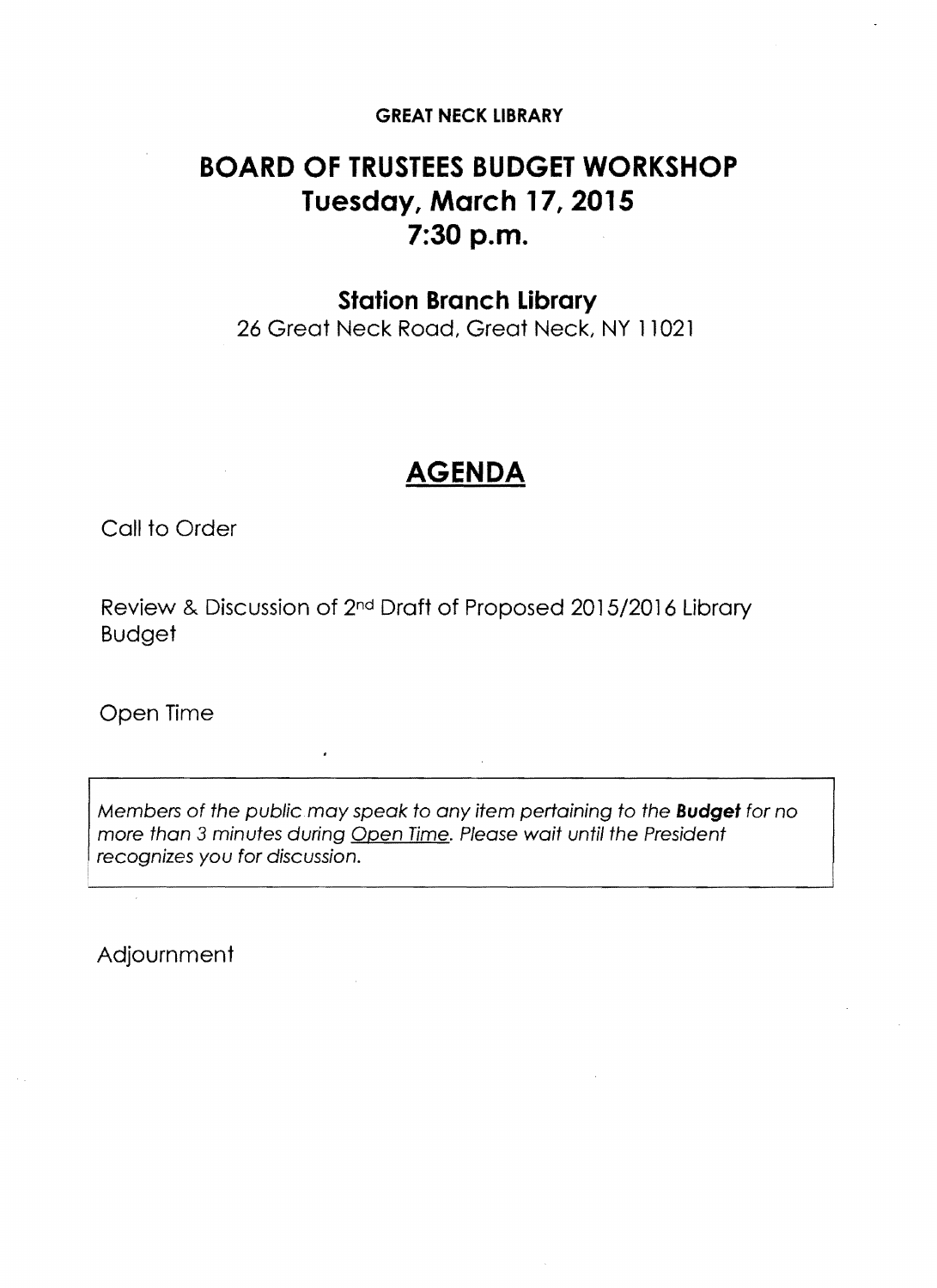### **GREAT NECK LIBRARY**

# **BOARD OF TRUSTEES BUDGET WORKSHOP Tuesday, March 17,2015 7:30 p.m.**

### **Station Branch Library**

26 Great Neck Road, Great Neck, NY 11021

# **AGENDA**

Call to Order

Review & Discussion of 2nd Draft of Proposed 2015/2016 Library Budget

Open Time

Members of the public may speak to any item pertaining to the **Budget** for no more than 3 minutes during Open Time. Please wait until the President recognizes you for discussion.

Adjournment